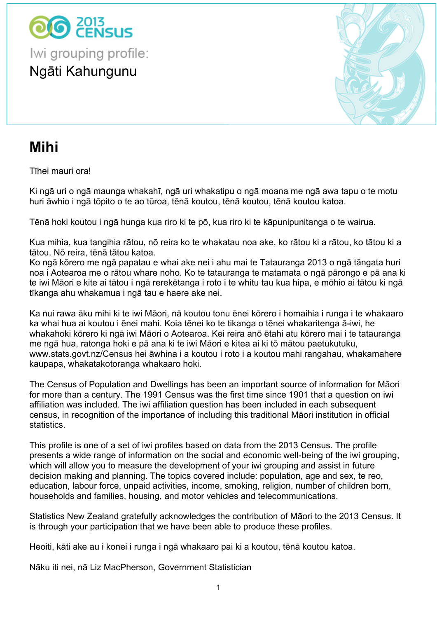$$
7 \t$ \t-(8 \t$\t\t 3 \t" -
$$

 $$ %8$  $\#$  $\mathbf{u}$  $\blacksquare$  $\mathbf{u} = \mathbf{u}$ 

 $\overline{6}$ 

 $\mathbf{I}$ 

 $\overline{\phantom{a}}$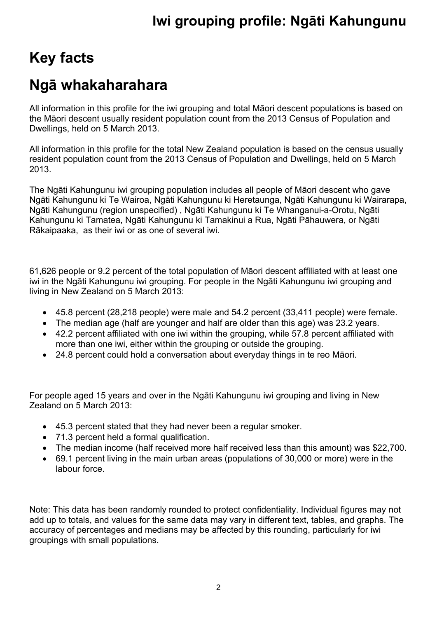## **Key facts**

## **Ngā whakaharahara**

All information in this profile for the iwi grouping and total Māori descent populations is based on the Māori descent usually resident population count from the 2013 Census of Population and Dwellings, held on 5 March 2013.

All information in this profile for the total New Zealand population is based on the census usually resident population count from the 2013 Census of Population and Dwellings, held on 5 March 2013.

The Ngāti Kahungunu iwi grouping population includes all people of Māori descent who gave Ngāti Kahungunu ki Te Wairoa, Ngāti Kahungunu ki Heretaunga, Ngāti Kahungunu ki Wairarapa, Ngāti Kahungunu (region unspecified) , Ngāti Kahungunu ki Te Whanganui-a-Orotu, Ngāti Kahungunu ki Tamatea, Ngāti Kahungunu ki Tamakinui a Rua, Ngāti Pāhauwera, or Ngāti Rākaipaaka, as their iwi or as one of several iwi.

61,626 people or 9.2 percent of the total population of Māori descent affiliated with at least one iwi in the Ngāti Kahungunu iwi grouping. For people in the Ngāti Kahungunu iwi grouping and living in New Zealand on 5 March 2013:

- 45.8 percent (28,218 people) were male and 54.2 percent (33,411 people) were female.
- The median age (half are younger and half are older than this age) was 23.2 years.
- 42.2 percent affiliated with one iwi within the grouping, while 57.8 percent affiliated with more than one iwi, either within the grouping or outside the grouping.
- 24.8 percent could hold a conversation about everyday things in te reo Māori.

For people aged 15 years and over in the Ngāti Kahungunu iwi grouping and living in New Zealand on 5 March 2013:

- 45.3 percent stated that they had never been a regular smoker.
- 71.3 percent held a formal qualification.
- The median income (half received more half received less than this amount) was \$22,700.
- 69.1 percent living in the main urban areas (populations of 30,000 or more) were in the labour force.

Note: This data has been randomly rounded to protect confidentiality. Individual figures may not add up to totals, and values for the same data may vary in different text, tables, and graphs. The accuracy of percentages and medians may be affected by this rounding, particularly for iwi groupings with small populations.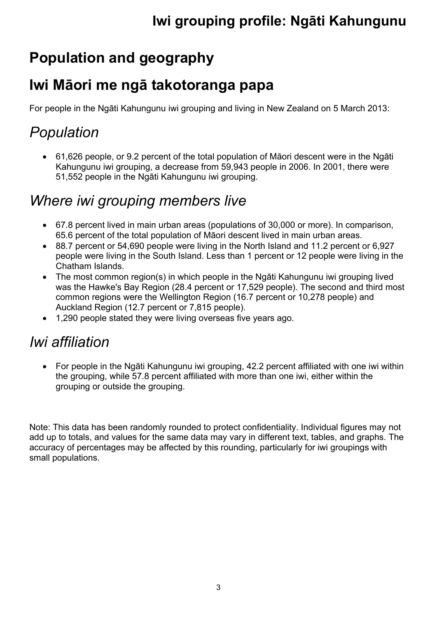## **Population and geography**

## **Iwi Māori me ngā takotoranga papa**

For people in the Ngāti Kahungunu iwi grouping and living in New Zealand on 5 March 2013:

## *Population*

 61,626 people, or 9.2 percent of the total population of Māori descent were in the Ngāti Kahungunu iwi grouping, a decrease from 59,943 people in 2006. In 2001, there were 51,552 people in the Ngāti Kahungunu iwi grouping.

## *Where iwi grouping members live*

- 67.8 percent lived in main urban areas (populations of 30,000 or more). In comparison, 65.6 percent of the total population of Māori descent lived in main urban areas.
- 88.7 percent or 54,690 people were living in the North Island and 11.2 percent or 6,927 people were living in the South Island. Less than 1 percent or 12 people were living in the Chatham Islands.
- The most common region(s) in which people in the Ngāti Kahungunu iwi grouping lived was the Hawke's Bay Region (28.4 percent or 17,529 people). The second and third most common regions were the Wellington Region (16.7 percent or 10,278 people) and Auckland Region (12.7 percent or 7,815 people).
- 1,290 people stated they were living overseas five years ago.

## *Iwi affiliation*

 For people in the Ngāti Kahungunu iwi grouping, 42.2 percent affiliated with one iwi within the grouping, while 57.8 percent affiliated with more than one iwi, either within the grouping or outside the grouping.

Note: This data has been randomly rounded to protect confidentiality. Individual figures may not add up to totals, and values for the same data may vary in different text, tables, and graphs. The accuracy of percentages may be affected by this rounding, particularly for iwi groupings with small populations.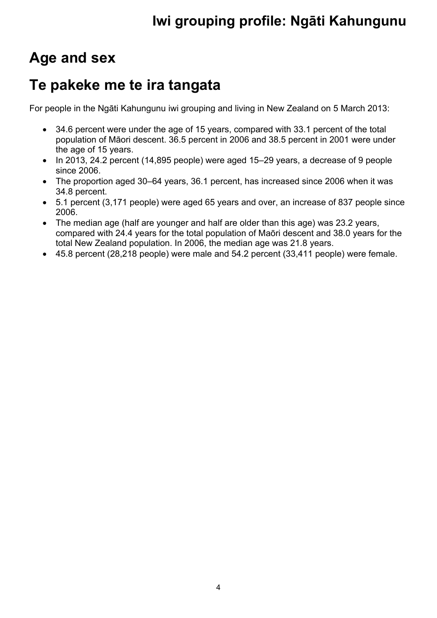## **Age and sex**

## **Te pakeke me te ira tangata**

For people in the Ngāti Kahungunu iwi grouping and living in New Zealand on 5 March 2013:

- 34.6 percent were under the age of 15 years, compared with 33.1 percent of the total population of Māori descent. 36.5 percent in 2006 and 38.5 percent in 2001 were under the age of 15 years.
- In 2013, 24.2 percent (14,895 people) were aged 15–29 years, a decrease of 9 people since 2006.
- The proportion aged 30–64 years, 36.1 percent, has increased since 2006 when it was 34.8 percent.
- 5.1 percent (3,171 people) were aged 65 years and over, an increase of 837 people since 2006.
- The median age (half are younger and half are older than this age) was 23.2 years, compared with 24.4 years for the total population of Maōri descent and 38.0 years for the total New Zealand population. In 2006, the median age was 21.8 years.
- 45.8 percent (28,218 people) were male and 54.2 percent (33,411 people) were female.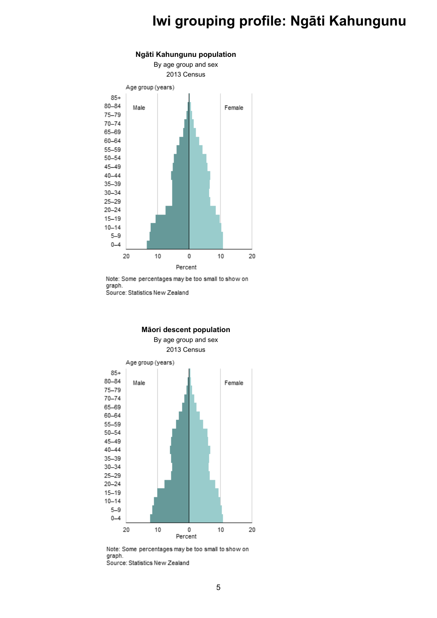

Note: Some percentages may be too small to show on graph. Source: Statistics New Zealand



**Māori descent population**

Note: Some percentages may be too small to show on graph. Source: Statistics New Zealand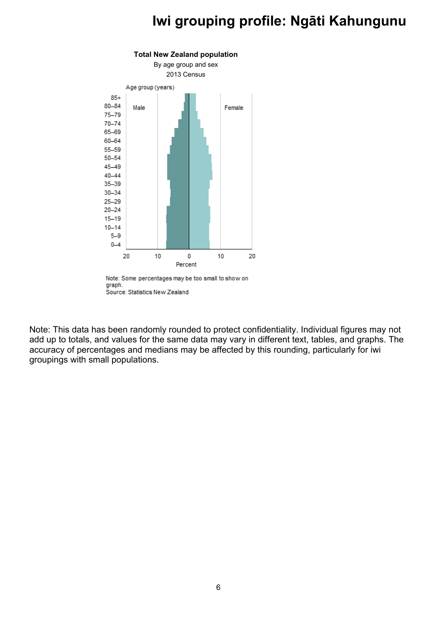

Source: Statistics New Zealand

Note: This data has been randomly rounded to protect confidentiality. Individual figures may not add up to totals, and values for the same data may vary in different text, tables, and graphs. The accuracy of percentages and medians may be affected by this rounding, particularly for iwi groupings with small populations.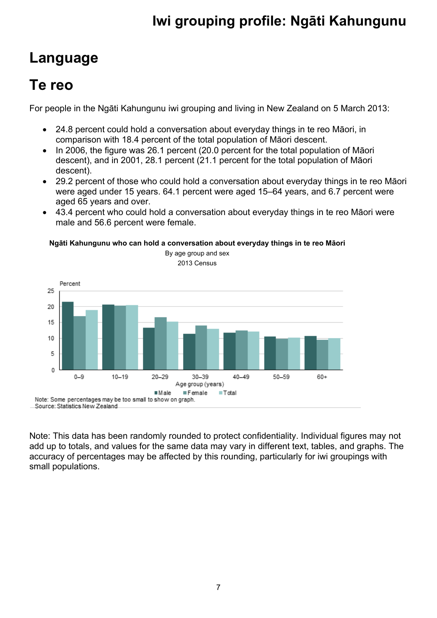## **Language**

## **Te reo**

For people in the Ngāti Kahungunu iwi grouping and living in New Zealand on 5 March 2013:

- 24.8 percent could hold a conversation about everyday things in te reo Māori, in comparison with 18.4 percent of the total population of Māori descent.
- In 2006, the figure was 26.1 percent (20.0 percent for the total population of Māori descent), and in 2001, 28.1 percent (21.1 percent for the total population of Māori descent).
- 29.2 percent of those who could hold a conversation about everyday things in te reo Māori were aged under 15 years. 64.1 percent were aged 15–64 years, and 6.7 percent were aged 65 years and over.
- 43.4 percent who could hold a conversation about everyday things in te reo Māori were male and 56.6 percent were female.

#### **Ngāti Kahungunu who can hold a conversation about everyday things in te reo Māori**



Note: This data has been randomly rounded to protect confidentiality. Individual figures may not add up to totals, and values for the same data may vary in different text, tables, and graphs. The accuracy of percentages may be affected by this rounding, particularly for iwi groupings with small populations.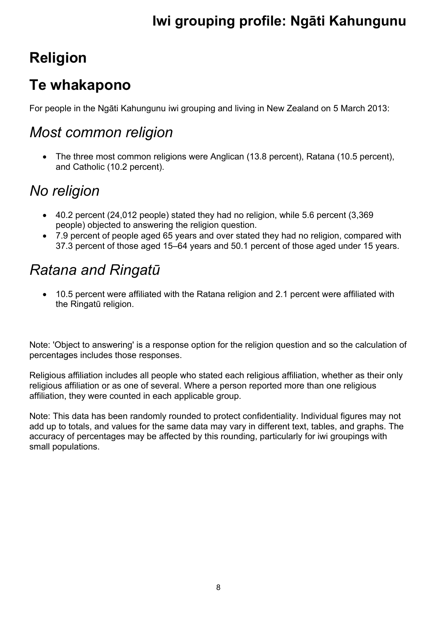## **Religion**

## **Te whakapono**

For people in the Ngāti Kahungunu iwi grouping and living in New Zealand on 5 March 2013:

#### *Most common religion*

 The three most common religions were Anglican (13.8 percent), Ratana (10.5 percent), and Catholic (10.2 percent).

## *No religion*

- 40.2 percent (24,012 people) stated they had no religion, while 5.6 percent (3,369 people) objected to answering the religion question.
- 7.9 percent of people aged 65 years and over stated they had no religion, compared with 37.3 percent of those aged 15–64 years and 50.1 percent of those aged under 15 years.

## *Ratana and Ringatū*

 10.5 percent were affiliated with the Ratana religion and 2.1 percent were affiliated with the Ringatū religion.

Note: 'Object to answering' is a response option for the religion question and so the calculation of percentages includes those responses.

Religious affiliation includes all people who stated each religious affiliation, whether as their only religious affiliation or as one of several. Where a person reported more than one religious affiliation, they were counted in each applicable group.

Note: This data has been randomly rounded to protect confidentiality. Individual figures may not add up to totals, and values for the same data may vary in different text, tables, and graphs. The accuracy of percentages may be affected by this rounding, particularly for iwi groupings with small populations.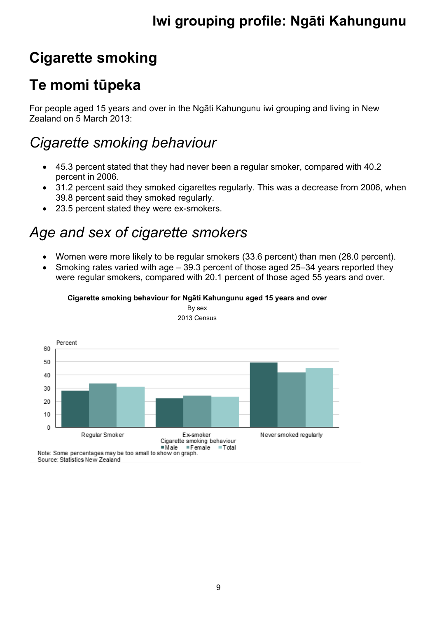# **Cigarette smoking**

## **Te momi tūpeka**

For people aged 15 years and over in the Ngāti Kahungunu iwi grouping and living in New Zealand on 5 March 2013:

### *Cigarette smoking behaviour*

- 45.3 percent stated that they had never been a regular smoker, compared with 40.2 percent in 2006.
- 31.2 percent said they smoked cigarettes regularly. This was a decrease from 2006, when 39.8 percent said they smoked regularly.
- 23.5 percent stated they were ex-smokers.

## *Age and sex of cigarette smokers*

- Women were more likely to be regular smokers (33.6 percent) than men (28.0 percent).
- Smoking rates varied with age 39.3 percent of those aged 25–34 years reported they were regular smokers, compared with 20.1 percent of those aged 55 years and over.





By sex 2013 Census

Source: Statistics New Zealand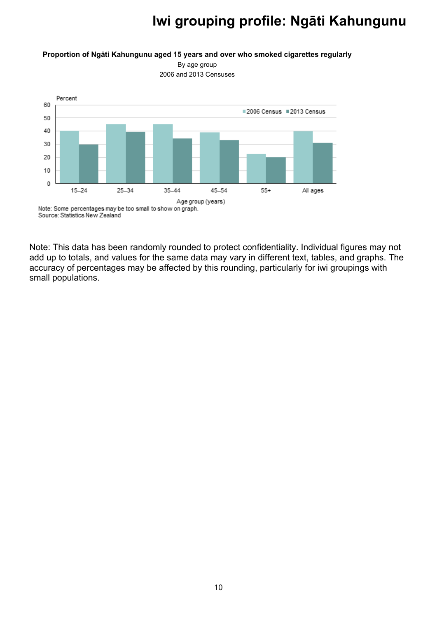#### **Proportion of Ngāti Kahungunu aged 15 years and over who smoked cigarettes regularly**

By age group 2006 and 2013 Censuses



Note: This data has been randomly rounded to protect confidentiality. Individual figures may not add up to totals, and values for the same data may vary in different text, tables, and graphs. The accuracy of percentages may be affected by this rounding, particularly for iwi groupings with small populations.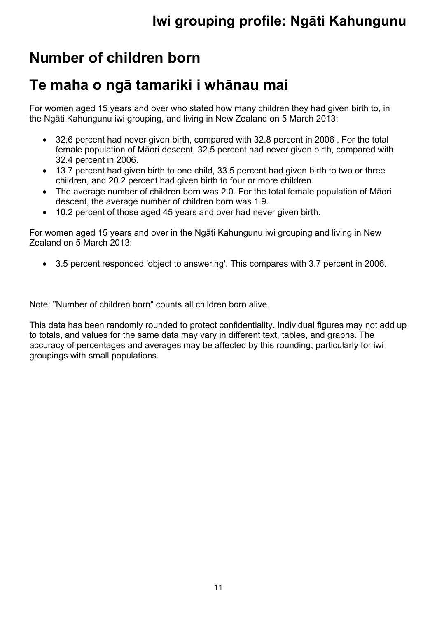## **Number of children born**

### **Te maha o ngā tamariki i whānau mai**

For women aged 15 years and over who stated how many children they had given birth to, in the Ngāti Kahungunu iwi grouping, and living in New Zealand on 5 March 2013:

- 32.6 percent had never given birth, compared with 32.8 percent in 2006 . For the total female population of Māori descent, 32.5 percent had never given birth, compared with 32.4 percent in 2006.
- 13.7 percent had given birth to one child, 33.5 percent had given birth to two or three children, and 20.2 percent had given birth to four or more children.
- The average number of children born was 2.0. For the total female population of Māori descent, the average number of children born was 1.9.
- 10.2 percent of those aged 45 years and over had never given birth.

For women aged 15 years and over in the Ngāti Kahungunu iwi grouping and living in New Zealand on 5 March 2013:

3.5 percent responded 'object to answering'. This compares with 3.7 percent in 2006.

Note: "Number of children born" counts all children born alive.

This data has been randomly rounded to protect confidentiality. Individual figures may not add up to totals, and values for the same data may vary in different text, tables, and graphs. The accuracy of percentages and averages may be affected by this rounding, particularly for iwi groupings with small populations.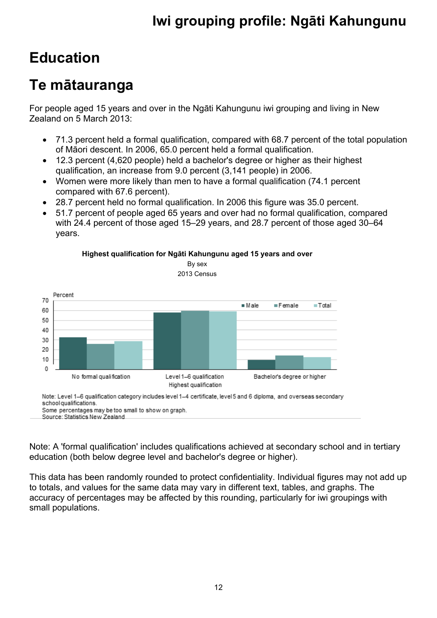## **Education**

## **Te mātauranga**

For people aged 15 years and over in the Ngāti Kahungunu iwi grouping and living in New Zealand on 5 March 2013:

- 71.3 percent held a formal qualification, compared with 68.7 percent of the total population of Māori descent. In 2006, 65.0 percent held a formal qualification.
- 12.3 percent (4,620 people) held a bachelor's degree or higher as their highest qualification, an increase from 9.0 percent (3,141 people) in 2006.
- Women were more likely than men to have a formal qualification (74.1 percent compared with 67.6 percent).
- 28.7 percent held no formal qualification. In 2006 this figure was 35.0 percent.

**Highest qualification for Ngāti Kahungunu aged 15 years and over** By sex

 51.7 percent of people aged 65 years and over had no formal qualification, compared with 24.4 percent of those aged 15–29 years, and 28.7 percent of those aged 30–64 years.



Note: Level 1-6 qualification category includes level 1-4 certificate, level 5 and 6 diploma, and overseas secondary school qualifications.

Some percentages may be too small to show on graph. Source: Statistics New Zealand

Note: A 'formal qualification' includes qualifications achieved at secondary school and in tertiary education (both below degree level and bachelor's degree or higher).

This data has been randomly rounded to protect confidentiality. Individual figures may not add up to totals, and values for the same data may vary in different text, tables, and graphs. The accuracy of percentages may be affected by this rounding, particularly for iwi groupings with small populations.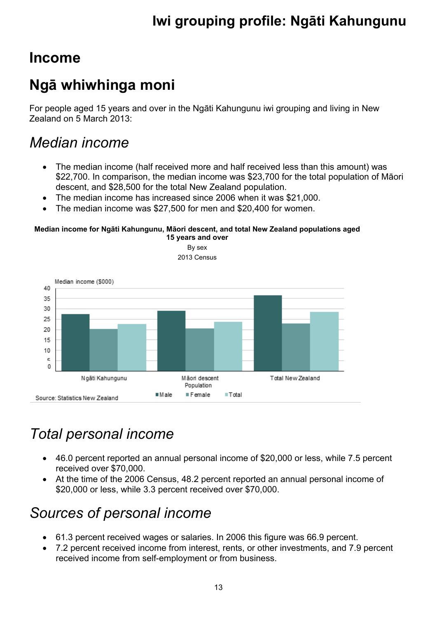#### **Income**

## **Ngā whiwhinga moni**

For people aged 15 years and over in the Ngāti Kahungunu iwi grouping and living in New Zealand on 5 March 2013:

#### *Median income*

- The median income (half received more and half received less than this amount) was \$22,700. In comparison, the median income was \$23,700 for the total population of Māori descent, and \$28,500 for the total New Zealand population.
- The median income has increased since 2006 when it was \$21,000.
- The median income was \$27,500 for men and \$20,400 for women.

#### **Median income for Ngāti Kahungunu, Māori descent, and total New Zealand populations aged 15 years and over**



## *Total personal income*

- 46.0 percent reported an annual personal income of \$20,000 or less, while 7.5 percent received over \$70,000.
- At the time of the 2006 Census, 48.2 percent reported an annual personal income of \$20,000 or less, while 3.3 percent received over \$70,000.

## *Sources of personal income*

- 61.3 percent received wages or salaries. In 2006 this figure was 66.9 percent.
- 7.2 percent received income from interest, rents, or other investments, and 7.9 percent received income from self-employment or from business.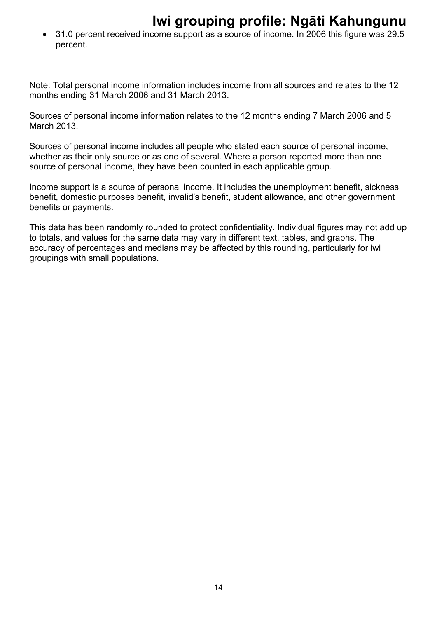31.0 percent received income support as a source of income. In 2006 this figure was 29.5 percent.

Note: Total personal income information includes income from all sources and relates to the 12 months ending 31 March 2006 and 31 March 2013.

Sources of personal income information relates to the 12 months ending 7 March 2006 and 5 March 2013.

Sources of personal income includes all people who stated each source of personal income, whether as their only source or as one of several. Where a person reported more than one source of personal income, they have been counted in each applicable group.

Income support is a source of personal income. It includes the unemployment benefit, sickness benefit, domestic purposes benefit, invalid's benefit, student allowance, and other government benefits or payments.

This data has been randomly rounded to protect confidentiality. Individual figures may not add up to totals, and values for the same data may vary in different text, tables, and graphs. The accuracy of percentages and medians may be affected by this rounding, particularly for iwi groupings with small populations.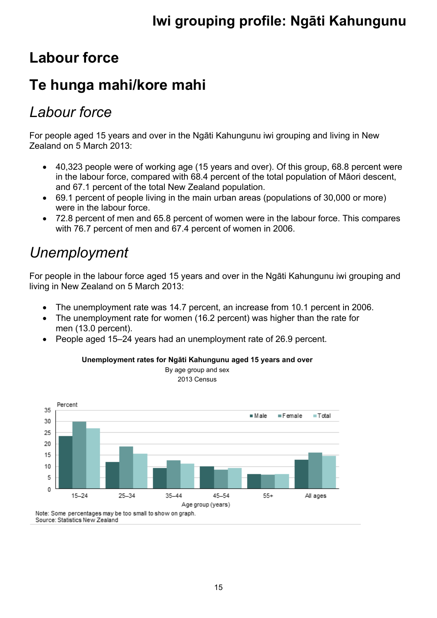## **Labour force**

## **Te hunga mahi/kore mahi**

#### *Labour force*

For people aged 15 years and over in the Ngāti Kahungunu iwi grouping and living in New Zealand on 5 March 2013:

- 40,323 people were of working age (15 years and over). Of this group, 68.8 percent were in the labour force, compared with 68.4 percent of the total population of Māori descent, and 67.1 percent of the total New Zealand population.
- 69.1 percent of people living in the main urban areas (populations of 30,000 or more) were in the labour force.
- 72.8 percent of men and 65.8 percent of women were in the labour force. This compares with 76.7 percent of men and 67.4 percent of women in 2006.

### *Unemployment*

For people in the labour force aged 15 years and over in the Ngāti Kahungunu iwi grouping and living in New Zealand on 5 March 2013:

- The unemployment rate was 14.7 percent, an increase from 10.1 percent in 2006.
- The unemployment rate for women (16.2 percent) was higher than the rate for men (13.0 percent).
- People aged 15–24 years had an unemployment rate of 26.9 percent.



#### **Unemployment rates for Ngāti Kahungunu aged 15 years and over** By age group and sex

2013 Census

Note: Some percentages may be too small to show on graph. Source: Statistics New Zealand

15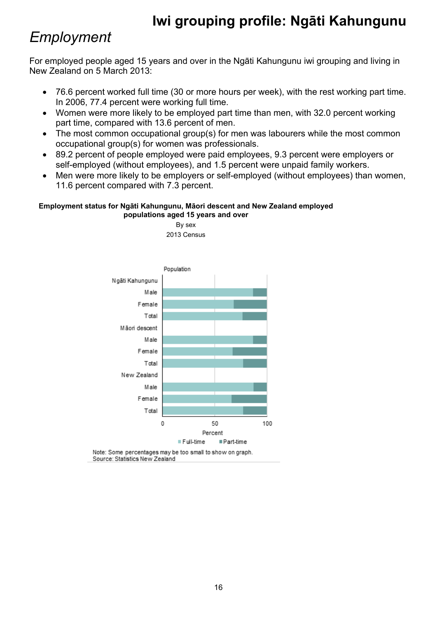#### *Employment*

For employed people aged 15 years and over in the Ngāti Kahungunu iwi grouping and living in New Zealand on 5 March 2013:

- 76.6 percent worked full time (30 or more hours per week), with the rest working part time. In 2006, 77.4 percent were working full time.
- Women were more likely to be employed part time than men, with 32.0 percent working part time, compared with 13.6 percent of men.
- The most common occupational group(s) for men was labourers while the most common occupational group(s) for women was professionals.
- 89.2 percent of people employed were paid employees, 9.3 percent were employers or self-employed (without employees), and 1.5 percent were unpaid family workers.
- Men were more likely to be employers or self-employed (without employees) than women, 11.6 percent compared with 7.3 percent.

#### **Employment status for Ngāti Kahungunu, Māori descent and New Zealand employed populations aged 15 years and over**

By sex



Note: Some percentages may be too small to show on graph. Source: Statistics New Zealand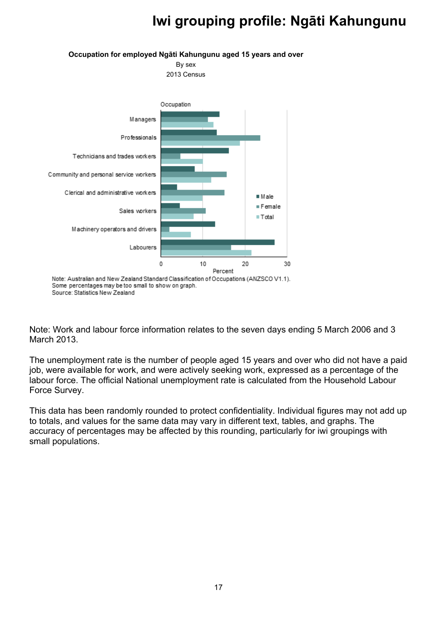

 $\overline{I}$ 

 $1: *$ ), '-' ) " "\*#." \* 9 - ? \*<br>-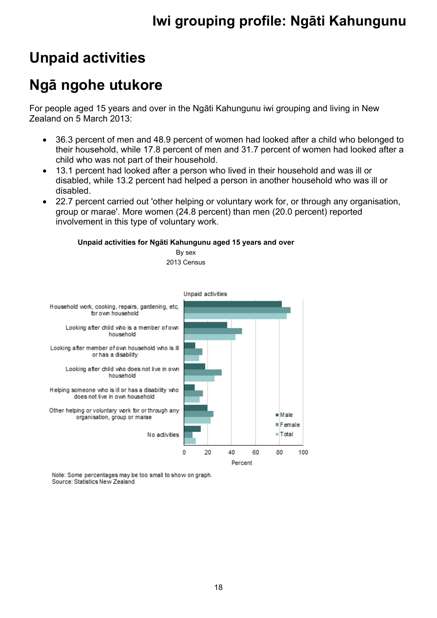## **Unpaid activities**

## **Ngā ngohe utukore**

For people aged 15 years and over in the Ngāti Kahungunu iwi grouping and living in New Zealand on 5 March 2013:

- 36.3 percent of men and 48.9 percent of women had looked after a child who belonged to their household, while 17.8 percent of men and 31.7 percent of women had looked after a child who was not part of their household.
- 13.1 percent had looked after a person who lived in their household and was ill or disabled, while 13.2 percent had helped a person in another household who was ill or disabled.
- 22.7 percent carried out 'other helping or voluntary work for, or through any organisation, group or marae'. More women (24.8 percent) than men (20.0 percent) reported involvement in this type of voluntary work.

#### **Unpaid activities for Ngāti Kahungunu aged 15 years and over**



Note: Some percentages may be too small to show on graph. Source: Statistics New Zealand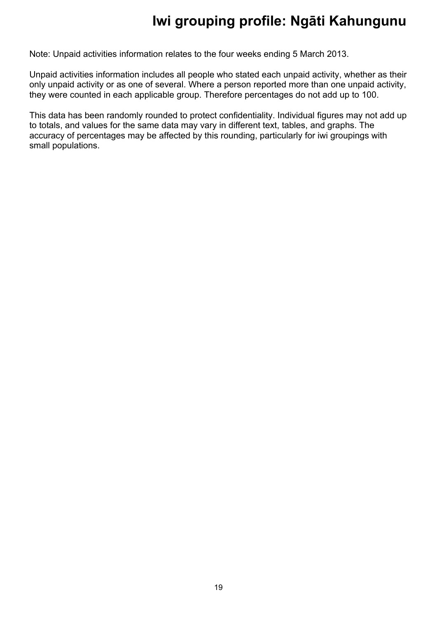Note: Unpaid activities information relates to the four weeks ending 5 March 2013.

Unpaid activities information includes all people who stated each unpaid activity, whether as their only unpaid activity or as one of several. Where a person reported more than one unpaid activity, they were counted in each applicable group. Therefore percentages do not add up to 100.

This data has been randomly rounded to protect confidentiality. Individual figures may not add up to totals, and values for the same data may vary in different text, tables, and graphs. The accuracy of percentages may be affected by this rounding, particularly for iwi groupings with small populations.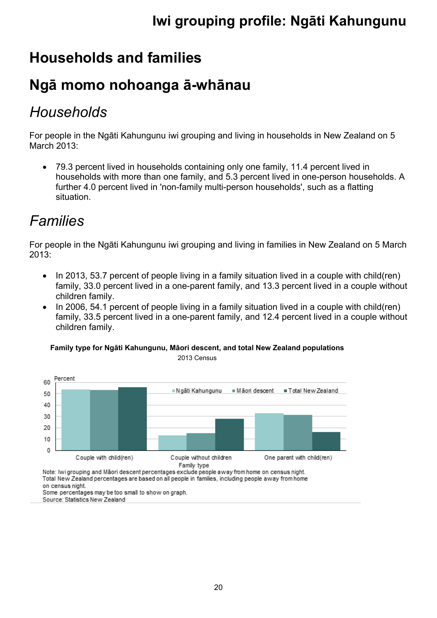## **Households and families**

## **Ngā momo nohoanga ā-whānau**

## *Households*

For people in the Ngāti Kahungunu iwi grouping and living in households in New Zealand on 5 March 2013:

 79.3 percent lived in households containing only one family, 11.4 percent lived in households with more than one family, and 5.3 percent lived in one-person households. A further 4.0 percent lived in 'non-family multi-person households', such as a flatting situation.

## *Families*

For people in the Ngāti Kahungunu iwi grouping and living in families in New Zealand on 5 March 2013:

- $\bullet$  In 2013, 53.7 percent of people living in a family situation lived in a couple with child(ren) family, 33.0 percent lived in a one-parent family, and 13.3 percent lived in a couple without children family.
- In 2006, 54.1 percent of people living in a family situation lived in a couple with child(ren) family, 33.5 percent lived in a one-parent family, and 12.4 percent lived in a couple without children family.

**Family type for Ngāti Kahungunu, Māori descent, and total New Zealand populations**



2013 Census

Note: Iwi grouping and Māori descent percentages exclude people away from home on census night. Total New Zealand percentages are based on all people in families, including people away from home on census night. Some percentages may be too small to show on graph.

Source: Statistics New Zealand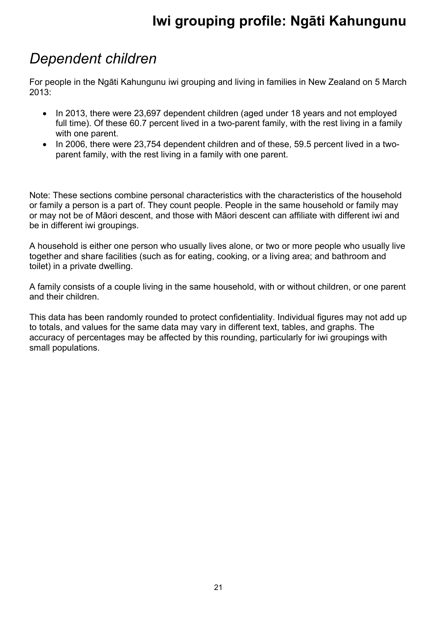#### *Dependent children*

For people in the Ngāti Kahungunu iwi grouping and living in families in New Zealand on 5 March 2013:

- In 2013, there were 23,697 dependent children (aged under 18 years and not employed full time). Of these 60.7 percent lived in a two-parent family, with the rest living in a family with one parent.
- In 2006, there were 23,754 dependent children and of these, 59.5 percent lived in a twoparent family, with the rest living in a family with one parent.

Note: These sections combine personal characteristics with the characteristics of the household or family a person is a part of. They count people. People in the same household or family may or may not be of Māori descent, and those with Māori descent can affiliate with different iwi and be in different iwi groupings.

A household is either one person who usually lives alone, or two or more people who usually live together and share facilities (such as for eating, cooking, or a living area; and bathroom and toilet) in a private dwelling.

A family consists of a couple living in the same household, with or without children, or one parent and their children.

This data has been randomly rounded to protect confidentiality. Individual figures may not add up to totals, and values for the same data may vary in different text, tables, and graphs. The accuracy of percentages may be affected by this rounding, particularly for iwi groupings with small populations.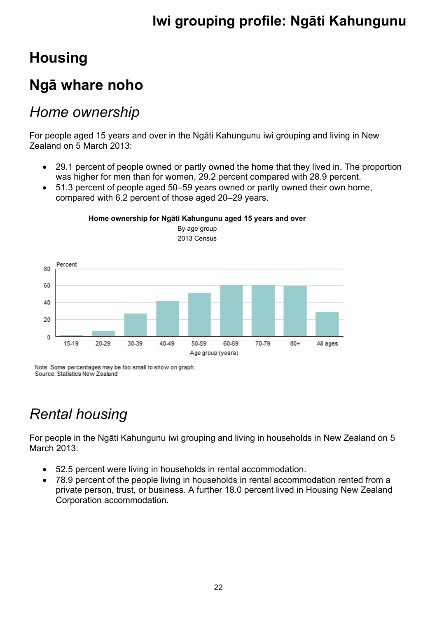## **Housing**

## **Ngā whare noho**

#### *Home ownership*

For people aged 15 years and over in the Ngāti Kahungunu iwi grouping and living in New Zealand on 5 March 2013:

- 29.1 percent of people owned or partly owned the home that they lived in. The proportion was higher for men than for women, 29.2 percent compared with 28.9 percent.
- 51.3 percent of people aged 50–59 years owned or partly owned their own home, compared with 6.2 percent of those aged 20–29 years.



**Home ownership for Ngāti Kahungunu aged 15 years and over** By age group

2013 Census

Note: Some percentages may be too small to show on graph. Source: Statistics New Zealand

## *Rental housing*

For people in the Ngāti Kahungunu iwi grouping and living in households in New Zealand on 5 March 2013:

- 52.5 percent were living in households in rental accommodation.
- 78.9 percent of the people living in households in rental accommodation rented from a private person, trust, or business. A further 18.0 percent lived in Housing New Zealand Corporation accommodation.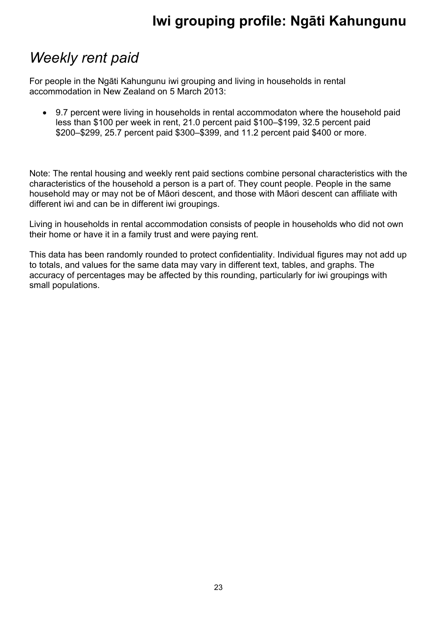## *Weekly rent paid*

For people in the Ngāti Kahungunu iwi grouping and living in households in rental accommodation in New Zealand on 5 March 2013:

 9.7 percent were living in households in rental accommodaton where the household paid less than \$100 per week in rent, 21.0 percent paid \$100–\$199, 32.5 percent paid \$200–\$299, 25.7 percent paid \$300–\$399, and 11.2 percent paid \$400 or more.

Note: The rental housing and weekly rent paid sections combine personal characteristics with the characteristics of the household a person is a part of. They count people. People in the same household may or may not be of Māori descent, and those with Māori descent can affiliate with different iwi and can be in different iwi groupings.

Living in households in rental accommodation consists of people in households who did not own their home or have it in a family trust and were paying rent.

This data has been randomly rounded to protect confidentiality. Individual figures may not add up to totals, and values for the same data may vary in different text, tables, and graphs. The accuracy of percentages may be affected by this rounding, particularly for iwi groupings with small populations.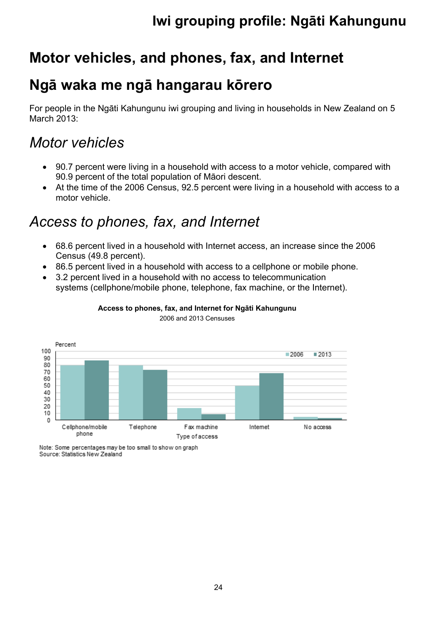## **Motor vehicles, and phones, fax, and Internet**

#### **Ngā waka me ngā hangarau kōrero**

For people in the Ngāti Kahungunu iwi grouping and living in households in New Zealand on 5 March 2013:

#### *Motor vehicles*

- 90.7 percent were living in a household with access to a motor vehicle, compared with 90.9 percent of the total population of Māori descent.
- At the time of the 2006 Census, 92.5 percent were living in a household with access to a motor vehicle.

## *Access to phones, fax, and Internet*

- 68.6 percent lived in a household with Internet access, an increase since the 2006 Census (49.8 percent).
- 86.5 percent lived in a household with access to a cellphone or mobile phone.
- 3.2 percent lived in a household with no access to telecommunication systems (cellphone/mobile phone, telephone, fax machine, or the Internet).



#### **Access to phones, fax, and Internet for Ngāti Kahungunu**

2006 and 2013 Censuses

Note: Some percentages may be too small to show on graph Source: Statistics New Zealand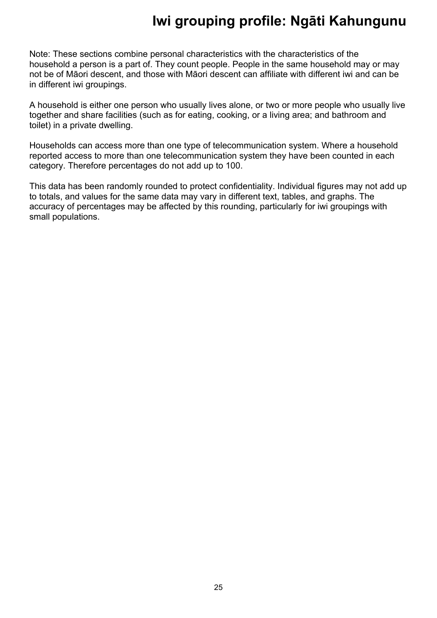Note: These sections combine personal characteristics with the characteristics of the household a person is a part of. They count people. People in the same household may or may not be of Māori descent, and those with Māori descent can affiliate with different iwi and can be in different iwi groupings.

A household is either one person who usually lives alone, or two or more people who usually live together and share facilities (such as for eating, cooking, or a living area; and bathroom and toilet) in a private dwelling.

Households can access more than one type of telecommunication system. Where a household reported access to more than one telecommunication system they have been counted in each category. Therefore percentages do not add up to 100.

This data has been randomly rounded to protect confidentiality. Individual figures may not add up to totals, and values for the same data may vary in different text, tables, and graphs. The accuracy of percentages may be affected by this rounding, particularly for iwi groupings with small populations.